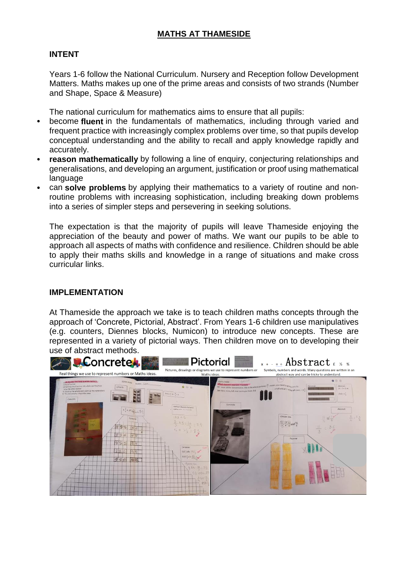## **INTENT**

Years 1-6 follow the National Curriculum. Nursery and Reception follow Development Matters. Maths makes up one of the prime areas and consists of two strands (Number and Shape, Space & Measure)

The national curriculum for mathematics aims to ensure that all pupils:

- become **fluent** in the fundamentals of mathematics, including through varied and frequent practice with increasingly complex problems over time, so that pupils develop conceptual understanding and the ability to recall and apply knowledge rapidly and accurately.
- **reason mathematically** by following a line of enquiry, conjecturing relationships and generalisations, and developing an argument, justification or proof using mathematical language
- can **solve problems** by applying their mathematics to a variety of routine and nonroutine problems with increasing sophistication, including breaking down problems into a series of simpler steps and persevering in seeking solutions.

The expectation is that the majority of pupils will leave Thameside enjoying the appreciation of the beauty and power of maths. We want our pupils to be able to approach all aspects of maths with confidence and resilience. Children should be able to apply their maths skills and knowledge in a range of situations and make cross curricular links.

## **IMPLEMENTATION**

At Thameside the approach we take is to teach children maths concepts through the approach of 'Concrete, Pictorial, Abstract'. From Years 1-6 children use manipulatives (e.g. counters, Diennes blocks, Numicon) to introduce new concepts. These are represented in a variety of pictorial ways. Then children move on to developing their use of abstract methods.

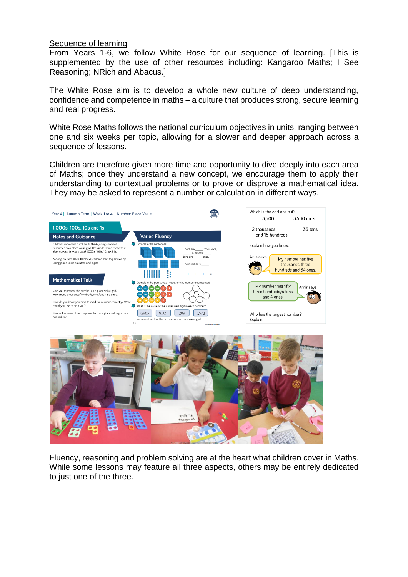## Sequence of learning

From Years 1-6, we follow White Rose for our sequence of learning. [This is supplemented by the use of other resources including: Kangaroo Maths; I See Reasoning; NRich and Abacus.]

The White Rose aim is to develop a whole new culture of deep understanding, confidence and competence in maths – a culture that produces strong, secure learning and real progress.

White Rose Maths follows the national curriculum objectives in units, ranging between one and six weeks per topic, allowing for a slower and deeper approach across a sequence of lessons.

Children are therefore given more time and opportunity to dive deeply into each area of Maths; once they understand a new concept, we encourage them to apply their understanding to contextual problems or to prove or disprove a mathematical idea. They may be asked to represent a number or calculation in different ways.





Fluency, reasoning and problem solving are at the heart what children cover in Maths. While some lessons may feature all three aspects, others may be entirely dedicated to just one of the three.